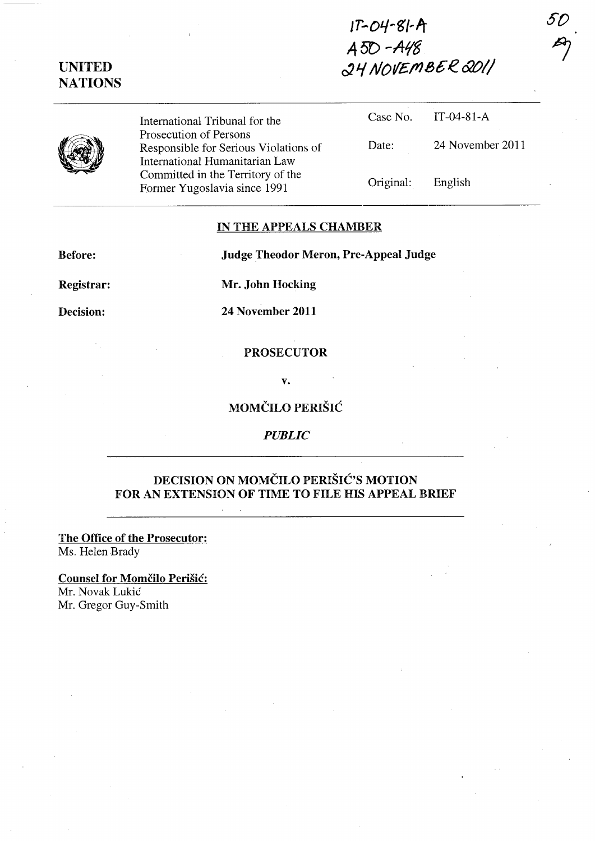# $1T-O4-S1-A$  $A5D - A48$ UNITED<br>NATIONS  $\frac{\partial H}{\partial V}$  NovEMBER  $\frac{\partial O}{\partial V}$



UNITED

International Tribunal for the Prosecution of Persons Responsible for Serious Violations of International Humanitarian Law Committed in the Territory of the Former Yugoslavia since 1991

| Case No.  | $IT-04-81-A$     |
|-----------|------------------|
| Date:     | 24 November 2011 |
| Original: | English          |

*so* 

 $\frac{1}{2}$ 

#### IN THE APPEALS CHAMBER

Before: Judge Theodor Meron, Pre-Appeal Judge

Registrar: Mr. John Hocking

Decision: 24 November 2011

PROSECUTOR

v.

### MOMČILO PERIŠIĆ

*PUBLIC* 

## DECISION ON MOMČILO PERIŠIĆ'S MOTION FOR AN EXTENSION OF TIME TO FILE HIS APPEAL BRIEF

The Office of the Prosecutor: Ms. Helen Brady

Counsel for Momčilo Perišić: Mr. Novak Lukic Mr. Gregor Guy-Smith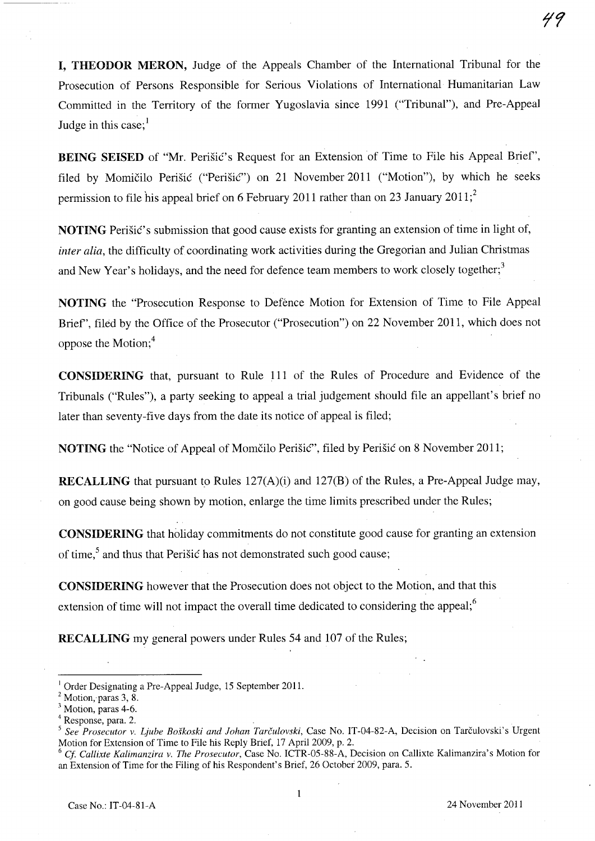I, THEODOR MERON, Judge of the Appeals Chamber of the International Tribunal for the Prosecution of Persons Responsible for Serious Violations of International Humanitarian Law Committed in the Territory of the former Yugoslavia since 1991 ("Tribunal"), and Pre-Appeal Judge in this case; $<sup>1</sup>$ </sup>

BEING SEISED of "Mr. Perišić's Request for an Extension of Time to File his Appeal Brief", filed by Momičilo Perišić ("Perišić") on 21 November 2011 ("Motion"), by which he seeks permission to file his appeal brief on 6 February 2011 rather than on 23 January 2011;<sup>2</sup>

NOTING Perišić's submission that good cause exists for granting an extension of time in light of, *inter alia,* the difficulty of coordinating work activities during the Gregorian and Julian Christmas and New Year's holidays, and the need for defence team members to work closely together;<sup>3</sup>

NOTING the "Prosecution Response to Defence Motion for Extension of Time to File Appeal Brief', filed by the Office of the Prosecutor ("Prosecution") on 22 November 2011, which does not oppose the Motion;4

CONSIDERING that, pursuant to Rule 111 of the Rules of Procedure and Evidence of the Tribunals ("Rules"), a party seeking to appeal a trial judgement should file an appellant's brief no later than seventy-five days from the date its notice of appeal is filed;

NOTING the "Notice of Appeal of Momcilo Perisic", filed by Perisic on 8 November 2011;

RECALLING that pursuant to Rules 127(A)(i) and 127(B) of the Rules, a Pre-Appeal Judge may, on good cause being shown by motion, enlarge the time limits prescribed under the Rules;

CONSIDERING that holiday commitments do not constitute good cause for granting an extension of time,<sup>5</sup> and thus that Perišic has not demonstrated such good cause;

CONSIDERING however that the Prosecution does not object to the Motion, and that this extension of time will not impact the overall time dedicated to considering the appeal; $<sup>6</sup>$ </sup>

RECALLING my general powers under Rules 54 and 107 of the Rules;

<sup>&</sup>lt;sup>1</sup> Order Designating a Pre-Appeal Judge, 15 September 2011.

 $<sup>2</sup>$  Motion, paras 3, 8.</sup>

Motion, paras 4-6.

<sup>4</sup> Response, para. 2.

See Prosecutor v. Ljube Boškoski and Johan Tarčulovski, Case No. IT-04-82-A, Decision on Tarčulovski's Urgent Motion for Extension of Time to File his Reply Brief, 17 April 2009, p. 2.

*<sup>6</sup> ct Callixte Kalimanzira v. The Prosecutor,* Case No. ICTR-05-88-A, Decision on Callixte Kalimanzira's Motion for an Extension of Time for the Filing of his Respondent's Brief, 26 October 2009, para. 5.